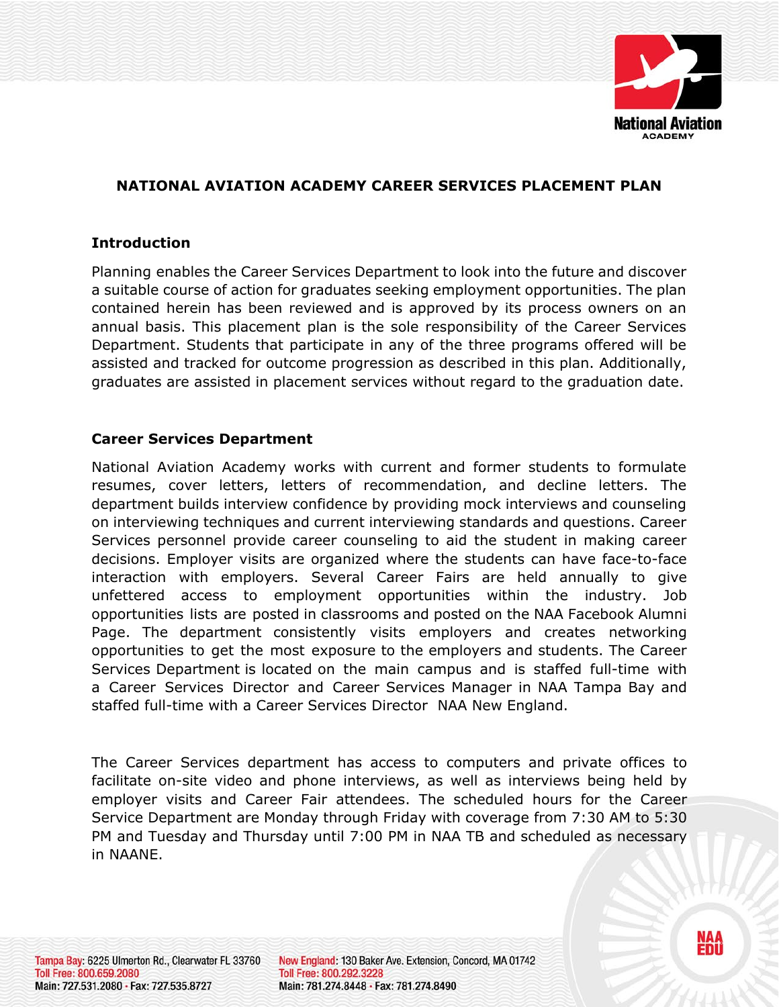

# **NATIONAL AVIATION ACADEMY CAREER SERVICES PLACEMENT PLAN**

#### **Introduction**

Planning enables the Career Services Department to look into the future and discover a suitable course of action for graduates seeking employment opportunities. The plan contained herein has been reviewed and is approved by its process owners on an annual basis. This placement plan is the sole responsibility of the Career Services Department. Students that participate in any of the three programs offered will be assisted and tracked for outcome progression as described in this plan. Additionally, graduates are assisted in placement services without regard to the graduation date.

### **Career Services Department**

National Aviation Academy works with current and former students to formulate resumes, cover letters, letters of recommendation, and decline letters. The department builds interview confidence by providing mock interviews and counseling on interviewing techniques and current interviewing standards and questions. Career Services personnel provide career counseling to aid the student in making career decisions. Employer visits are organized where the students can have face-to-face interaction with employers. Several Career Fairs are held annually to give unfettered access to employment opportunities within the industry. Job opportunities lists are posted in classrooms and posted on the NAA Facebook Alumni Page. The department consistently visits employers and creates networking opportunities to get the most exposure to the employers and students. The Career Services Department is located on the main campus and is staffed full-time with a Career Services Director and Career Services Manager in NAA Tampa Bay and staffed full-time with a Career Services Director NAA New England.

The Career Services department has access to computers and private offices to facilitate on-site video and phone interviews, as well as interviews being held by employer visits and Career Fair attendees. The scheduled hours for the Career Service Department are Monday through Friday with coverage from 7:30 AM to 5:30 PM and Tuesday and Thursday until 7:00 PM in NAA TB and scheduled as necessary in NAANE.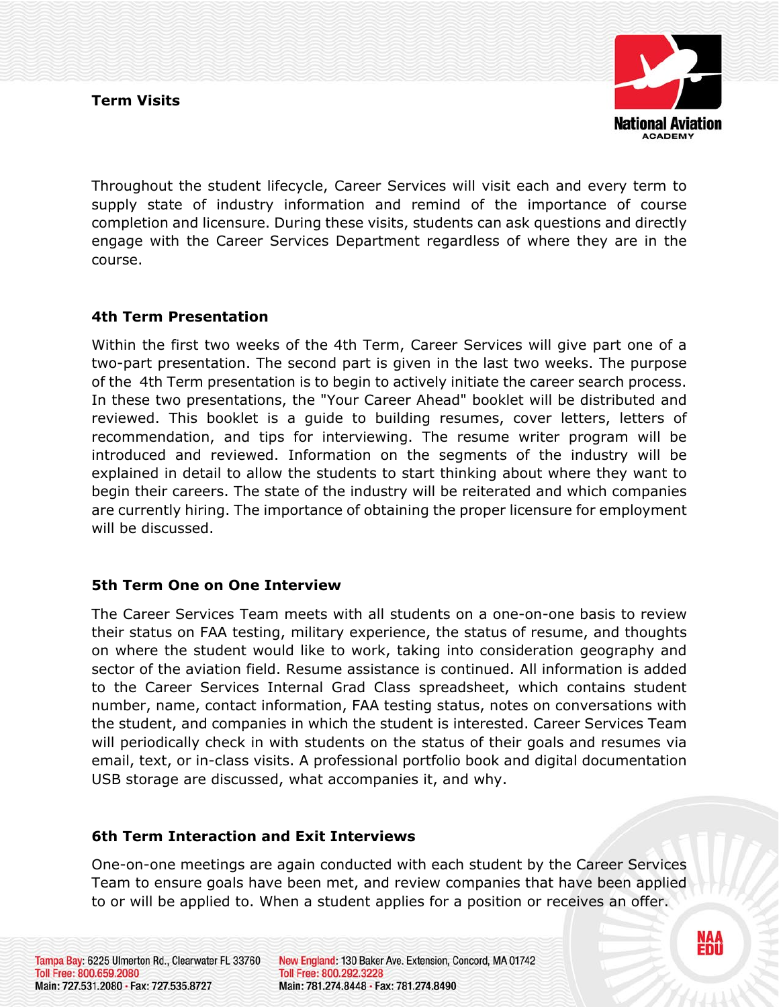

Throughout the student lifecycle, Career Services will visit each and every term to supply state of industry information and remind of the importance of course completion and licensure. During these visits, students can ask questions and directly engage with the Career Services Department regardless of where they are in the course.

# **4th Term Presentation**

Within the first two weeks of the 4th Term, Career Services will give part one of a two-part presentation. The second part is given in the last two weeks. The purpose of the 4th Term presentation is to begin to actively initiate the career search process. In these two presentations, the "Your Career Ahead" booklet will be distributed and reviewed. This booklet is a guide to building resumes, cover letters, letters of recommendation, and tips for interviewing. The resume writer program will be introduced and reviewed. Information on the segments of the industry will be explained in detail to allow the students to start thinking about where they want to begin their careers. The state of the industry will be reiterated and which companies are currently hiring. The importance of obtaining the proper licensure for employment will be discussed.

## **5th Term One on One Interview**

The Career Services Team meets with all students on a one-on-one basis to review their status on FAA testing, military experience, the status of resume, and thoughts on where the student would like to work, taking into consideration geography and sector of the aviation field. Resume assistance is continued. All information is added to the Career Services Internal Grad Class spreadsheet, which contains student number, name, contact information, FAA testing status, notes on conversations with the student, and companies in which the student is interested. Career Services Team will periodically check in with students on the status of their goals and resumes via email, text, or in-class visits. A professional portfolio book and digital documentation USB storage are discussed, what accompanies it, and why.

# **6th Term Interaction and Exit Interviews**

One-on-one meetings are again conducted with each student by the Career Services Team to ensure goals have been met, and review companies that have been applied to or will be applied to. When a student applies for a position or receives an offer.

Tampa Bay: 6225 Ulmerton Rd., Clearwater FL 33760 Toll Free: 800.659.2080 Main: 727.531.2080 · Fax: 727.535.8727

New England: 130 Baker Ave. Extension, Concord, MA 01742 Toll Free: 800.292.3228 Main: 781.274.8448 · Fax: 781.274.8490

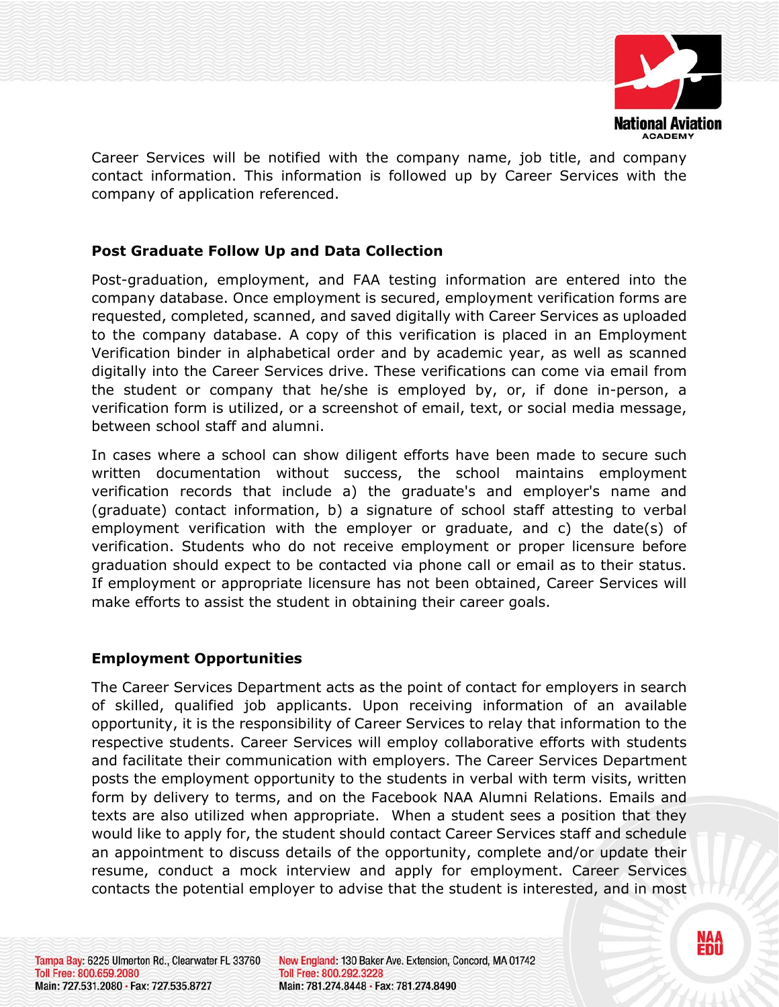

Career Services will be notified with the company name, job title, and company contact information. This information is followed up by Career Services with the company of application referenced.

# **Post Graduate Follow Up and Data Collection**

Post-graduation, employment, and FAA testing information are entered into the company database. Once employment is secured, employment verification forms are requested, completed, scanned, and saved digitally with Career Services as uploaded to the company database. A copy of this verification is placed in an Employment Verification binder in alphabetical order and by academic year, as well as scanned digitally into the Career Services drive. These verifications can come via email from the student or company that he/she is employed by, or, if done in-person, a verification form is utilized, or a screenshot of email, text, or social media message, between school staff and alumni.

In cases where a school can show diligent efforts have been made to secure such written documentation without success, the school maintains employment verification records that include a) the graduate's and employer's name and (graduate) contact information, b) a signature of school staff attesting to verbal employment verification with the employer or graduate, and c) the date(s) of verification. Students who do not receive employment or proper licensure before graduation should expect to be contacted via phone call or email as to their status. If employment or appropriate licensure has not been obtained, Career Services will make efforts to assist the student in obtaining their career goals.

## **Employment Opportunities**

The Career Services Department acts as the point of contact for employers in search of skilled, qualified job applicants. Upon receiving information of an available opportunity, it is the responsibility of Career Services to relay that information to the respective students. Career Services will employ collaborative efforts with students and facilitate their communication with employers. The Career Services Department posts the employment opportunity to the students in verbal with term visits, written form by delivery to terms, and on the Facebook NAA Alumni Relations. Emails and texts are also utilized when appropriate. When a student sees a position that they would like to apply for, the student should contact Career Services staff and schedule an appointment to discuss details of the opportunity, complete and/or update their resume, conduct a mock interview and apply for employment. Career Services contacts the potential employer to advise that the student is interested, and in most

Tampa Bay: 6225 Ulmerton Rd., Clearwater FL 33760 Toll Free: 800.659.2080 Main: 727.531.2080 · Fax: 727.535.8727

New England: 130 Baker Ave. Extension, Concord, MA 01742 Toll Free: 800.292.3228 Main: 781.274.8448 · Fax: 781.274.8490

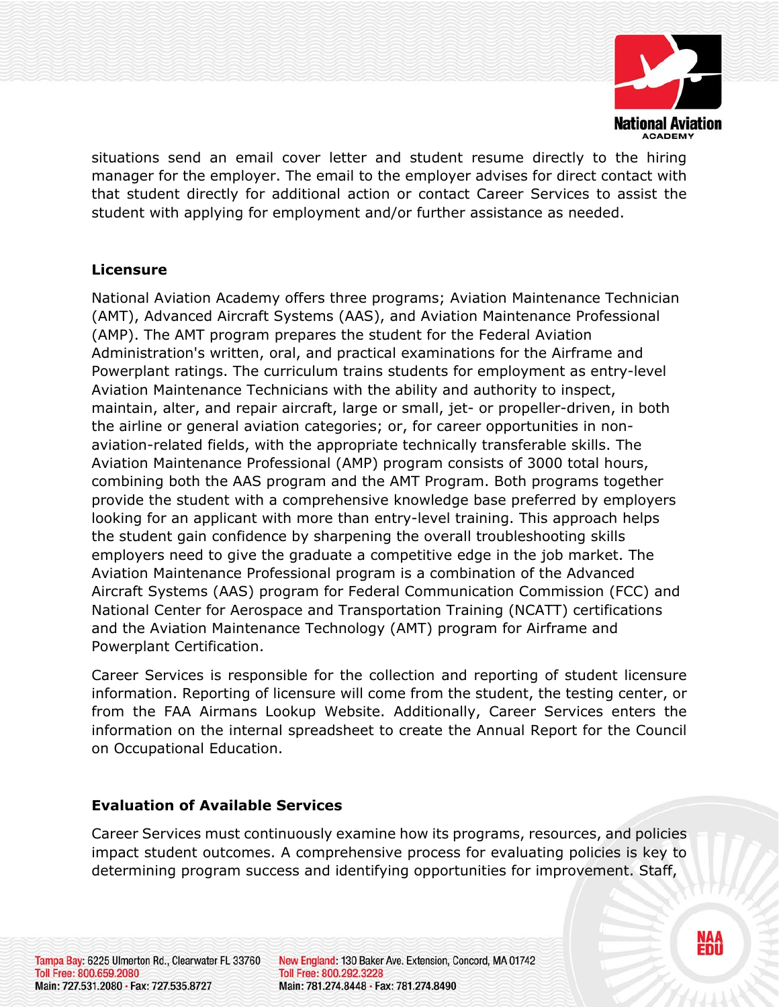

NAA<br>Enii

situations send an email cover letter and student resume directly to the hiring manager for the employer. The email to the employer advises for direct contact with that student directly for additional action or contact Career Services to assist the student with applying for employment and/or further assistance as needed.

## **Licensure**

National Aviation Academy offers three programs; Aviation Maintenance Technician (AMT), Advanced Aircraft Systems (AAS), and Aviation Maintenance Professional (AMP). The AMT program prepares the student for the Federal Aviation Administration's written, oral, and practical examinations for the Airframe and Powerplant ratings. The curriculum trains students for employment as entry-level Aviation Maintenance Technicians with the ability and authority to inspect, maintain, alter, and repair aircraft, large or small, jet- or propeller-driven, in both the airline or general aviation categories; or, for career opportunities in nonaviation-related fields, with the appropriate technically transferable skills. The Aviation Maintenance Professional (AMP) program consists of 3000 total hours, combining both the AAS program and the AMT Program. Both programs together provide the student with a comprehensive knowledge base preferred by employers looking for an applicant with more than entry-level training. This approach helps the student gain confidence by sharpening the overall troubleshooting skills employers need to give the graduate a competitive edge in the job market. The Aviation Maintenance Professional program is a combination of the Advanced Aircraft Systems (AAS) program for Federal Communication Commission (FCC) and National Center for Aerospace and Transportation Training (NCATT) certifications and the Aviation Maintenance Technology (AMT) program for Airframe and Powerplant Certification.

Career Services is responsible for the collection and reporting of student licensure information. Reporting of licensure will come from the student, the testing center, or from the FAA Airmans Lookup Website. Additionally, Career Services enters the information on the internal spreadsheet to create the Annual Report for the Council on Occupational Education.

## **Evaluation of Available Services**

Career Services must continuously examine how its programs, resources, and policies impact student outcomes. A comprehensive process for evaluating policies is key to determining program success and identifying opportunities for improvement. Staff,

Tampa Bay: 6225 Ulmerton Rd., Clearwater FL 33760 Toll Free: 800.659.2080 Main: 727.531.2080 · Fax: 727.535.8727